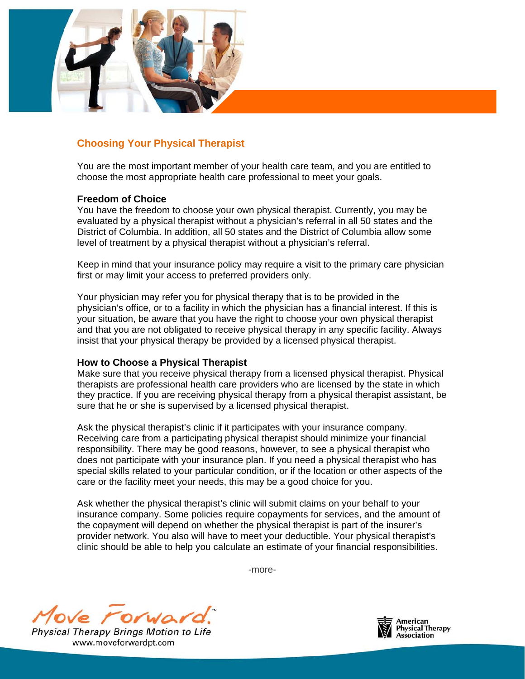

## **Choosing Your Physical Therapist**

You are the most important member of your health care team, and you are entitled to choose the most appropriate health care professional to meet your goals.

## **Freedom of Choice**

You have the freedom to choose your own physical therapist. Currently, you may be evaluated by a physical therapist without a physician's referral in all 50 states and the District of Columbia. In addition, all 50 states and the District of Columbia allow some level of treatment by a physical therapist without a physician's referral.

Keep in mind that your insurance policy may require a visit to the primary care physician first or may limit your access to preferred providers only.

Your physician may refer you for physical therapy that is to be provided in the physician's office, or to a facility in which the physician has a financial interest. If this is your situation, be aware that you have the right to choose your own physical therapist and that you are not obligated to receive physical therapy in any specific facility. Always insist that your physical therapy be provided by a licensed physical therapist.

## **How to Choose a Physical Therapist**

Make sure that you receive physical therapy from a licensed physical therapist. Physical therapists are professional health care providers who are licensed by the state in which they practice. If you are receiving physical therapy from a physical therapist assistant, be sure that he or she is supervised by a licensed physical therapist.

Ask the physical therapist's clinic if it participates with your insurance company. Receiving care from a participating physical therapist should minimize your financial responsibility. There may be good reasons, however, to see a physical therapist who does not participate with your insurance plan. If you need a physical therapist who has special skills related to your particular condition, or if the location or other aspects of the care or the facility meet your needs, this may be a good choice for you.

Ask whether the physical therapist's clinic will submit claims on your behalf to your insurance company. Some policies require copayments for services, and the amount of the copayment will depend on whether the physical therapist is part of the insurer's provider network. You also will have to meet your deductible. Your physical therapist's clinic should be able to help you calculate an estimate of your financial responsibilities.

-more-



Physical Therapy Brings Motion to Life www.moveforwardpt.com